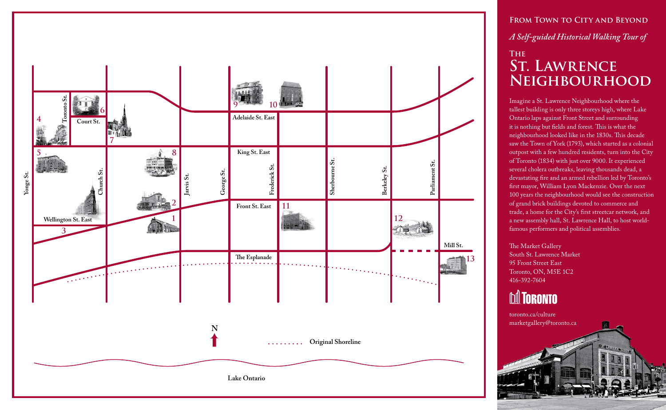

FROM TOWN TO CITY AND BEYOND *A Self-guided Historical Walking Tour of*  **The St. Lawrence Neighbourhood**

Imagine a St. Lawrence Neighbourhood where the tallest building is only three storeys high, where Lake Ontario laps against Front Street and surrounding it is nothing but fields and forest. This is what the neighbourhood looked like in the 1830s. This decade saw the Town of York (1793), which started as a colonial outpost with a few hundred residents, turn into the City of Toronto (1834) with just over 9000. It experienced several cholera outbreaks, leaving thousands dead, a devastating fire and an armed rebellion led by Toronto's first mayor, William Lyon Mackenzie. Over the next 100 years the neighbourhood would see the construction of grand brick buildings devoted to commerce and trade, a home for the City's first streetcar network, and a new assembly hall, St. Lawrence Hall, to host worldfamous performers and political assemblies.

The Market Gallery South St. Lawrence Market 95 Front Street East Toronto, ON, M5E 1C2 416-392-7604

### **M** TORONTO